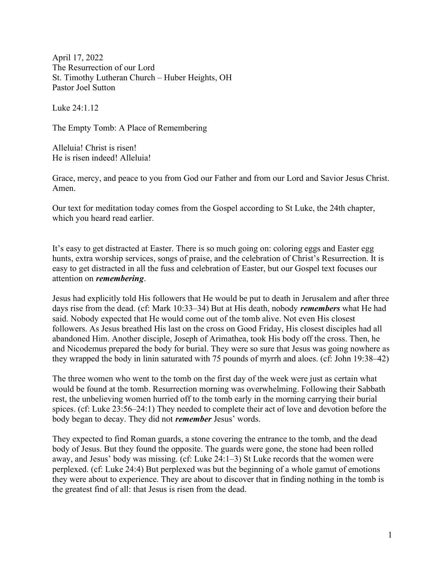April 17, 2022 The Resurrection of our Lord St. Timothy Lutheran Church – Huber Heights, OH Pastor Joel Sutton

Luke 24:1.12

The Empty Tomb: A Place of Remembering

Alleluia! Christ is risen! He is risen indeed! Alleluia!

Grace, mercy, and peace to you from God our Father and from our Lord and Savior Jesus Christ. Amen.

Our text for meditation today comes from the Gospel according to St Luke, the 24th chapter, which you heard read earlier.

It's easy to get distracted at Easter. There is so much going on: coloring eggs and Easter egg hunts, extra worship services, songs of praise, and the celebration of Christ's Resurrection. It is easy to get distracted in all the fuss and celebration of Easter, but our Gospel text focuses our attention on remembering.

Jesus had explicitly told His followers that He would be put to death in Jerusalem and after three days rise from the dead. (cf: Mark 10:33–34) But at His death, nobody *remembers* what He had said. Nobody expected that He would come out of the tomb alive. Not even His closest followers. As Jesus breathed His last on the cross on Good Friday, His closest disciples had all abandoned Him. Another disciple, Joseph of Arimathea, took His body off the cross. Then, he and Nicodemus prepared the body for burial. They were so sure that Jesus was going nowhere as they wrapped the body in linin saturated with 75 pounds of myrrh and aloes. (cf: John 19:38–42)

The three women who went to the tomb on the first day of the week were just as certain what would be found at the tomb. Resurrection morning was overwhelming. Following their Sabbath rest, the unbelieving women hurried off to the tomb early in the morning carrying their burial spices. (cf: Luke 23:56–24:1) They needed to complete their act of love and devotion before the body began to decay. They did not *remember* Jesus' words.

They expected to find Roman guards, a stone covering the entrance to the tomb, and the dead body of Jesus. But they found the opposite. The guards were gone, the stone had been rolled away, and Jesus' body was missing. (cf: Luke 24:1–3) St Luke records that the women were perplexed. (cf: Luke 24:4) But perplexed was but the beginning of a whole gamut of emotions they were about to experience. They are about to discover that in finding nothing in the tomb is the greatest find of all: that Jesus is risen from the dead.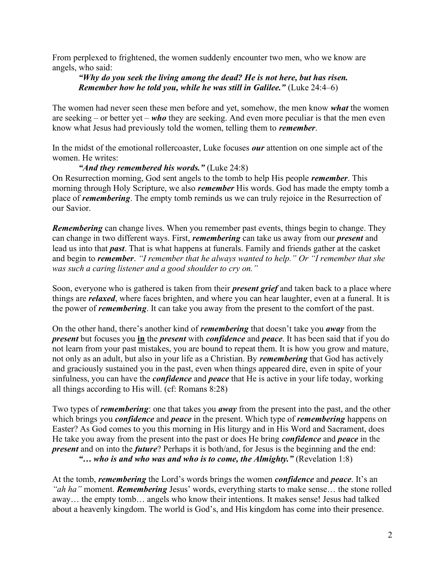From perplexed to frightened, the women suddenly encounter two men, who we know are angels, who said:

## "Why do you seek the living among the dead? He is not here, but has risen. Remember how he told you, while he was still in Galilee." (Luke 24:4–6)

The women had never seen these men before and yet, somehow, the men know *what* the women are seeking – or better yet – who they are seeking. And even more peculiar is that the men even know what Jesus had previously told the women, telling them to remember.

In the midst of the emotional rollercoaster, Luke focuses our attention on one simple act of the women. He writes:

"And they remembered his words." (Luke  $24:8$ )

On Resurrection morning, God sent angels to the tomb to help His people remember. This morning through Holy Scripture, we also *remember* His words. God has made the empty tomb a place of *remembering*. The empty tomb reminds us we can truly rejoice in the Resurrection of our Savior.

**Remembering** can change lives. When you remember past events, things begin to change. They can change in two different ways. First, *remembering* can take us away from our *present* and lead us into that past. That is what happens at funerals. Family and friends gather at the casket and begin to **remember**. "I remember that he always wanted to help." Or "I remember that she was such a caring listener and a good shoulder to cry on."

Soon, everyone who is gathered is taken from their *present grief* and taken back to a place where things are *relaxed*, where faces brighten, and where you can hear laughter, even at a funeral. It is the power of *remembering*. It can take you away from the present to the comfort of the past.

On the other hand, there's another kind of *remembering* that doesn't take you *away* from the present but focuses you in the *present* with *confidence* and *peace*. It has been said that if you do not learn from your past mistakes, you are bound to repeat them. It is how you grow and mature, not only as an adult, but also in your life as a Christian. By *remembering* that God has actively and graciously sustained you in the past, even when things appeared dire, even in spite of your sinfulness, you can have the *confidence* and *peace* that He is active in your life today, working all things according to His will. (cf: Romans 8:28)

Two types of *remembering*: one that takes you *away* from the present into the past, and the other which brings you *confidence* and *peace* in the present. Which type of *remembering* happens on Easter? As God comes to you this morning in His liturgy and in His Word and Sacrament, does He take you away from the present into the past or does He bring *confidence* and *peace* in the present and on into the future? Perhaps it is both/and, for Jesus is the beginning and the end: "... who is and who was and who is to come, the Almighty." (Revelation  $1:8$ )

At the tomb, *remembering* the Lord's words brings the women *confidence* and *peace*. It's an "*ah ha*" moment. **Remembering** Jesus' words, everything starts to make sense... the stone rolled away… the empty tomb… angels who know their intentions. It makes sense! Jesus had talked about a heavenly kingdom. The world is God's, and His kingdom has come into their presence.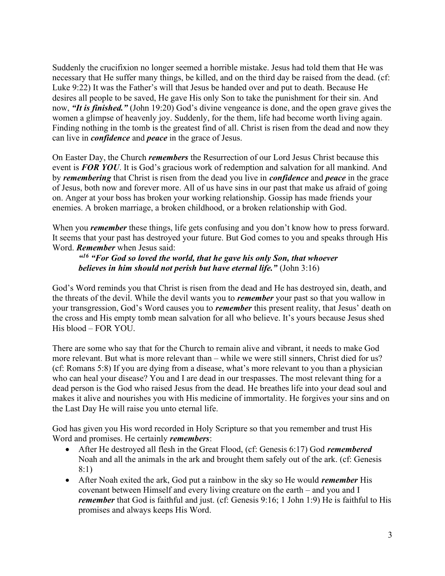Suddenly the crucifixion no longer seemed a horrible mistake. Jesus had told them that He was necessary that He suffer many things, be killed, and on the third day be raised from the dead. (cf: Luke 9:22) It was the Father's will that Jesus be handed over and put to death. Because He desires all people to be saved, He gave His only Son to take the punishment for their sin. And now, "It is finished." (John 19:20) God's divine vengeance is done, and the open grave gives the women a glimpse of heavenly joy. Suddenly, for the them, life had become worth living again. Finding nothing in the tomb is the greatest find of all. Christ is risen from the dead and now they can live in *confidence* and *peace* in the grace of Jesus.

On Easter Day, the Church *remembers* the Resurrection of our Lord Jesus Christ because this event is **FOR YOU**. It is God's gracious work of redemption and salvation for all mankind. And by remembering that Christ is risen from the dead you live in *confidence* and *peace* in the grace of Jesus, both now and forever more. All of us have sins in our past that make us afraid of going on. Anger at your boss has broken your working relationship. Gossip has made friends your enemies. A broken marriage, a broken childhood, or a broken relationship with God.

When you *remember* these things, life gets confusing and you don't know how to press forward. It seems that your past has destroyed your future. But God comes to you and speaks through His Word. Remember when Jesus said:

"<sup>16</sup> "For God so loved the world, that he gave his only Son, that whoever believes in him should not perish but have eternal life." (John 3:16)

God's Word reminds you that Christ is risen from the dead and He has destroyed sin, death, and the threats of the devil. While the devil wants you to *remember* your past so that you wallow in your transgression, God's Word causes you to *remember* this present reality, that Jesus' death on the cross and His empty tomb mean salvation for all who believe. It's yours because Jesus shed His blood – FOR YOU.

There are some who say that for the Church to remain alive and vibrant, it needs to make God more relevant. But what is more relevant than – while we were still sinners, Christ died for us? (cf: Romans 5:8) If you are dying from a disease, what's more relevant to you than a physician who can heal your disease? You and I are dead in our trespasses. The most relevant thing for a dead person is the God who raised Jesus from the dead. He breathes life into your dead soul and makes it alive and nourishes you with His medicine of immortality. He forgives your sins and on the Last Day He will raise you unto eternal life.

God has given you His word recorded in Holy Scripture so that you remember and trust His Word and promises. He certainly *remembers*:

- After He destroyed all flesh in the Great Flood, (cf: Genesis 6:17) God *remembered* Noah and all the animals in the ark and brought them safely out of the ark. (cf: Genesis 8:1)
- After Noah exited the ark, God put a rainbow in the sky so He would *remember* His covenant between Himself and every living creature on the earth – and you and I remember that God is faithful and just. (cf: Genesis 9:16; 1 John 1:9) He is faithful to His promises and always keeps His Word.